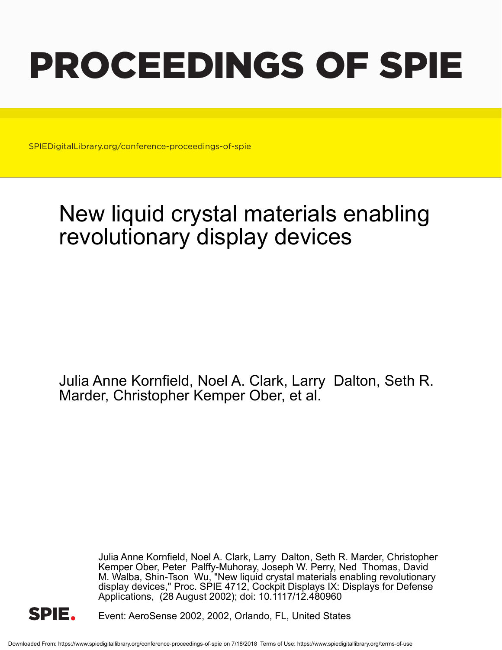# PROCEEDINGS OF SPIE

SPIEDigitalLibrary.org/conference-proceedings-of-spie

# New liquid crystal materials enabling revolutionary display devices

Julia Anne Kornfield, Noel A. Clark, Larry Dalton, Seth R. Marder, Christopher Kemper Ober, et al.

> Julia Anne Kornfield, Noel A. Clark, Larry Dalton, Seth R. Marder, Christopher Kemper Ober, Peter Palffy-Muhoray, Joseph W. Perry, Ned Thomas, David M. Walba, Shin-Tson Wu, "New liquid crystal materials enabling revolutionary display devices," Proc. SPIE 4712, Cockpit Displays IX: Displays for Defense Applications, (28 August 2002); doi: 10.1117/12.480960



Event: AeroSense 2002, 2002, Orlando, FL, United States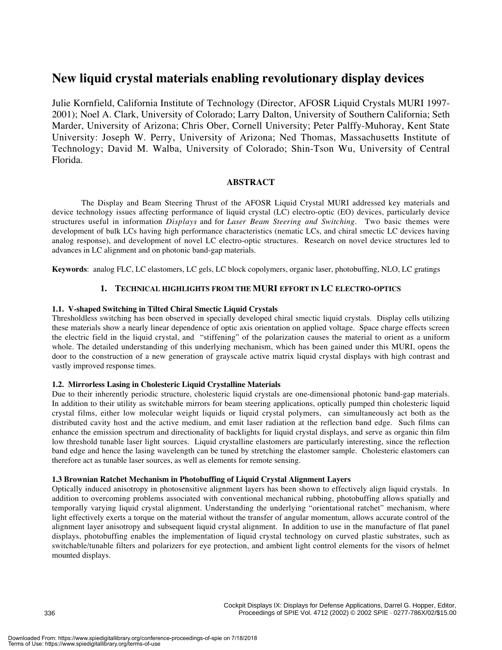## **Newliquid crystalmaterials enabling revolutionary display devices**

Julie Kornfield, California Institute of Technology (Director, AFOSR Liquid Crystals MURI 1997- 2001); Noel A. Clark, University of Colorado; Larry Dalton, University of Southern California; Seth Marder, University of Arizona; Chris Ober, Cornell University; Peter Palffy-Muhoray, Kent State University: Joseph W. Perry, University of Arizona; Ned Thomas, Massachusetts Institute of Technology; David M. Walba, University of Colorado; Shin-Tson Wu, University of Central Florida.

#### **ABSTRACT**

The Display and Beam Steering Thrust of the AFOSR Liquid Crystal MURI addressed key materials and device technology issues affecting performance of liquid crystal (LC) electro-optic (EO) devices, particularly device structures useful in information *Displays* and for *Laser Beam Steering and Switching*. Two basic themes were development of bulk LCs having high performance characteristics (nematic LCs, and chiral smectic LC devices having analog response), and development of novel LC electro-optic structures. Research on novel device structures led to advances in LC alignment and on photonic band-gap materials.

**Keywords**: analog FLC, LC elastomers, LC gels, LC block copolymers, organic laser, photobuffing, NLO, LC gratings

#### **1. TECHNICAL HIGHLIGHTS FROM THE MURI EFFORT IN LC ELECTRO-OPTICS**

#### **1.1. V-shaped Switching in Tilted Chiral Smectic Liquid Crystals**

Thresholdless switching has been observed in specially developed chiral smectic liquid crystals. Display cells utilizing these materials show a nearly linear dependence of optic axis orientation on applied voltage. Space charge effects screen the electric field in the liquid crystal, and "stiffening" of the polarization causes the material to orient as a uniform whole. The detailed understanding of this underlying mechanism, which has been gained under this MURI, opens the door to the construction of a new generation of grayscale active matrix liquid crystal displays with high contrast and vastly improved response times.

#### **1.2. Mirrorless Lasing in Cholesteric Liquid Crystalline Materials**

Due to their inherently periodic structure, cholesteric liquid crystals are one-dimensional photonic band-gap materials. In addition to their utility as switchable mirrors for beam steering applications, optically pumped thin cholesteric liquid crystal films, either low molecular weight liquids or liquid crystal polymers, can simultaneously act both as the distributed cavity host and the active medium, and emit laser radiation at the reflection band edge. Such films can enhance the emission spectrum and directionality of backlights for liquid crystal displays, and serve as organic thin film low threshold tunable laser light sources. Liquid crystalline elastomers are particularly interesting, since the reflection band edge and hence the lasing wavelength can be tuned by stretching the elastomer sample. Cholesteric elastomers can therefore act as tunable laser sources, as well as elements for remote sensing.

#### **1.3 Brownian Ratchet Mechanism in Photobuffing of Liquid Crystal Alignment Layers**

Optically induced anisotropy in photosensitive alignment layers has been shown to effectively align liquid crystals. In addition to overcoming problems associated with conventional mechanical rubbing, photobuffing allows spatially and temporally varying liquid crystal alignment. Understanding the underlying "orientational ratchet" mechanism, where light effectively exerts a torque on the material without the transfer of angular momentum, allows accurate control of the alignment layer anisotropy and subsequent liquid crystal alignment. In addition to use in the manufacture of flat panel displays, photobuffing enables the implementation of liquid crystal technology on curved plastic substrates, such as switchable/tunable filters and polarizers for eye protection, and ambient light control elements for the visors of helmet mounted displays.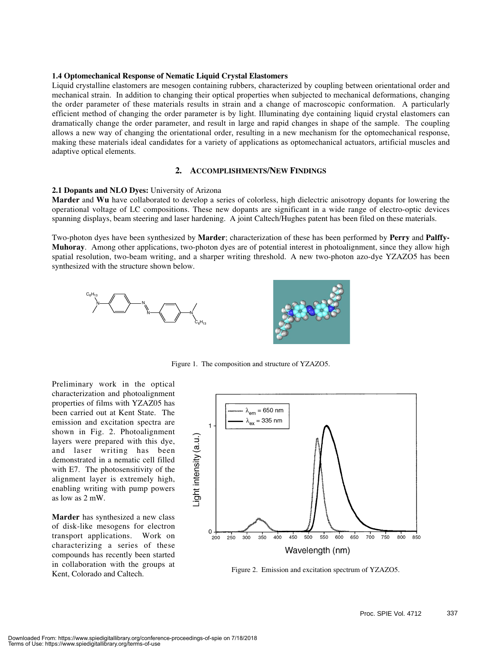#### **1.4 Optomechanical Response of Nematic Liquid Crystal Elastomers**

Liquid crystalline elastomers are mesogen containing rubbers, characterized by coupling between orientational order and mechanical strain. In addition to changing their optical properties when subjected to mechanical deformations, changing the order parameter of these materials results in strain and a change of macroscopic conformation. A particularly efficient method of changing the order parameter is by light. Illuminating dye containing liquid crystal elastomers can dramatically change the order parameter, and result in large and rapid changes in shape of the sample. The coupling allows a new way of changing the orientational order, resulting in a new mechanism for the optomechanical response, making these materials ideal candidates for a variety of applications as optomechanical actuators, artificial muscles and adaptive optical elements.

#### **2. ACCOMPLISHMENTS/NEW FINDINGS**

#### **2.1 Dopants and NLO Dyes:** University of Arizona

**Marder** and **Wu** have collaborated to develop a series of colorless, high dielectric anisotropy dopants for lowering the operational voltage of LC compositions. These new dopants are significant in a wide range of electro-optic devices spanning displays, beam steering and laser hardening. A joint Caltech/Hughes patent has been filed on these materials.

Two-photon dyes have been synthesized by **Marder**; characterization of these has been performed by **Perry** and **Palffy-Muhoray**. Among other applications, two-photon dyes are of potential interest in photoalignment, since they allow high spatial resolution, two-beam writing, and a sharper writing threshold. A new two-photon azo-dye YZAZO5 has been synthesized with the structure shown below.





Figure 1. The composition and structure of YZAZO5.

Preliminary work in the optical characterization and photoalignment properties of films with YZAZ05 has been carried out at Kent State. The emission and excitation spectra are shown in Fig. 2. Photoalignment layers were prepared with this dye, and laser writing has been demonstrated in a nematic cell filled with E7. The photosensitivity of the alignment layer is extremely high, enabling writing with pump powers as low as 2 mW.

**Marder** has synthesized a new class of disk-like mesogens for electron transport applications. Work on characterizing a series of these compounds has recently been started in collaboration with the groups at Kent, Colorado and Caltech.



Figure 2. Emission and excitation spectrum of YZAZO5.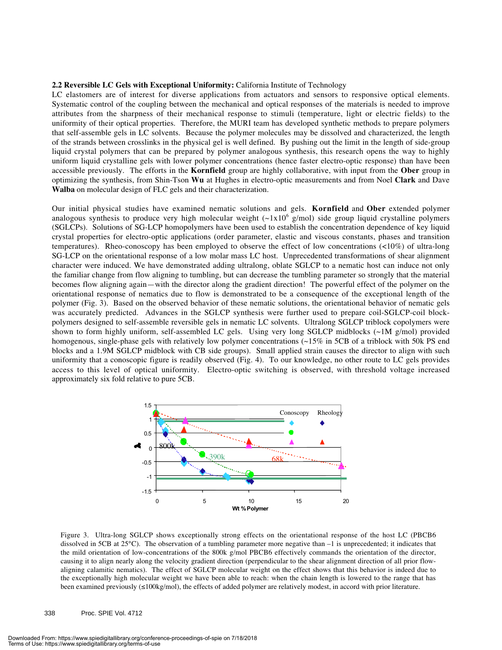#### **2.2 Reversible LC Gels with Exceptional Uniformity:** California Institute of Technology

LC elastomers are of interest for diverse applications from actuators and sensors to responsive optical elements. Systematic control of the coupling between the mechanical and optical responses of the materials is needed to improve attributes from the sharpness of their mechanical response to stimuli (temperature, light or electric fields) to the uniformity of their optical properties. Therefore, the MURI team has developed synthetic methods to prepare polymers that self-assemble gels in LC solvents. Because the polymer molecules may be dissolved and characterized, the length of the strands between crosslinks in the physical gel is well defined. By pushing out the limit in the length of side-group liquid crystal polymers that can be prepared by polymer analogous synthesis, this research opens the way to highly uniform liquid crystalline gels with lower polymer concentrations (hence faster electro-optic response) than have been accessible previously. The efforts in the **Kornfield** group are highly collaborative, with input from the **Ober** group in optimizing the synthesis, from Shin-Tson **Wu** at Hughes in electro-optic measurements and from Noel **Clark** and Dave **Walba** on molecular design of FLC gels and their characterization.

Our initial physical studies have examined nematic solutions and gels. **Kornfield** and **Ober** extended polymer analogous synthesis to produce very high molecular weight  $\left(\frac{2 \times 10^6 \text{ g/mol}}{\text{m}}\right)$  side group liquid crystalline polymers (SGLCPs). Solutions of SG-LCP homopolymers have been used to establish the concentration dependence of key liquid crystal properties for electro-optic applications (order parameter, elastic and viscous constants, phases and transition temperatures). Rheo-conoscopy has been employed to observe the effect of low concentrations (<10%) of ultra-long SG-LCP on the orientational response of a low molar mass LC host. Unprecedented transformations of shear alignment character were induced. We have demonstrated adding ultralong, oblate SGLCP to a nematic host can induce not only the familiar change from flow aligning to tumbling, but can decrease the tumbling parameter so strongly that the material becomes flow aligning again—with the director along the gradient direction! The powerful effect of the polymer on the orientational response of nematics due to flow is demonstrated to be a consequence of the exceptional length of the polymer (Fig. 3). Based on the observed behavior of these nematic solutions, the orientational behavior of nematic gels was accurately predicted. Advances in the SGLCP synthesis were further used to prepare coil-SGLCP-coil blockpolymers designed to self-assemble reversible gels in nematic LC solvents. Ultralong SGLCP triblock copolymers were shown to form highly uniform, self-assembled LC gels. Using very long SGLCP midblocks (~1M g/mol) provided homogenous, single-phase gels with relatively low polymer concentrations (~15% in 5CB of a triblock with 50k PS end blocks and a 1.9MSGLCP midblock with CB side groups). Small applied strain causes the director to align with such uniformity that a conoscopic figure is readily observed (Fig. 4). To our knowledge, no other route to LC gels provides access to this level of optical uniformity. Electro-optic switching is observed, with threshold voltage increased approximately six fold relative to pure 5CB.



Figure 3. Ultra-long SGLCP shows exceptionally strong effects on the orientational response of the host LC (PBCB6 dissolved in 5CB at 25°C). The observation of a tumbling parameter more negative than –1 is unprecedented; it indicates that the mild orientation of low-concentrations of the 800k g/mol PBCB6 effectively commands the orientation of the director, causing it to align nearly along the velocity gradient direction (perpendicular to the shear alignment direction of all prior flowaligning calamitic nematics). The effect of SGLCP molecular weight on the effect shows that this behavior is indeed due to the exceptionally high molecular weight we have been able to reach: when the chain length is lowered to the range that has been examined previously (≤100kg/mol), the effects of added polymer are relatively modest, in accord with prior literature.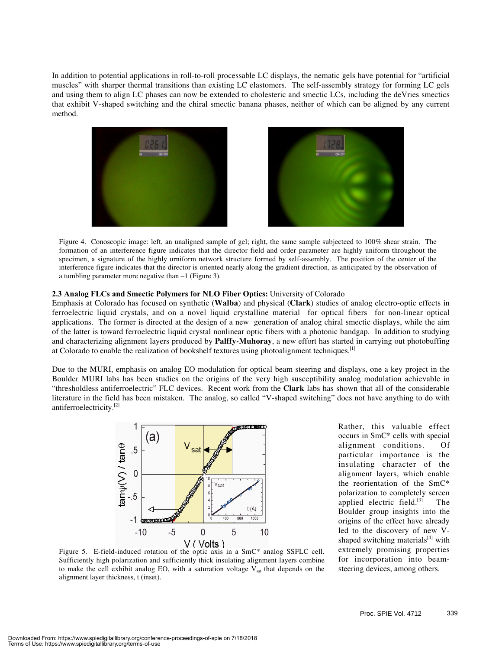In addition to potential applications in roll-to-roll processable LC displays, the nematic gels have potential for "artificial muscles" with sharper thermal transitions than existing LC elastomers. The self-assembly strategy for forming LC gels and using them to align LC phases can now be extended to cholesteric and smectic LCs, including the deVries smectics that exhibit V-shaped switching and the chiral smectic banana phases, neither of which can be aligned by any current method.





Figure 4. Conoscopic image: left, an unaligned sample of gel; right, the same sample subjecteed to 100% shear strain. The formation of an interference figure indicates that the director field and order parameter are highly uniform throughout the specimen, a signature of the highly urniform network structure formed by self-assembly. The position of the center of the interference figure indicates that the director is oriented nearly along the gradient direction, as anticipated by the observation of a tumbling parameter more negative than –1 (Figure 3).

#### **2.3 Analog FLCs and Smectic Polymers for NLO Fiber Optics:** University of Colorado

Emphasis at Colorado has focused on synthetic (**Walba**) and physical (**Clark**) studies of analog electro-optic effects in ferroelectric liquid crystals, and on a novel liquid crystalline material for optical fibers for non-linear optical applications. The former is directed at the design of a new generation of analog chiral smectic displays, while the aim of the latter is toward ferroelectric liquid crystal nonlinear optic fibers with a photonic bandgap. In addition to studying and characterizing alignment layers produced by **Palffy-Muhoray**, a new effort has started in carrying out photobuffing at Colorado to enable the realization of bookshelf textures using photoalignment techniques.<sup>[1]</sup>

Due to the MURI, emphasis on analog EO modulation for optical beam steering and displays, one a key project in the Boulder MURI labs has been studies on the origins of the very high susceptibility analog modulation achievable in "thresholdless antiferroelectric" FLC devices. Recent work from the **Clark** labs has shown that all of the considerable literature in the field has been mistaken. The analog, so called "V-shaped switching" does not have anything to do with antiferroelectricity.[2]



Rather, this valuable effect occurs in SmC\* cells with special alignment conditions. Of particular importance is the insulating character of the alignment layers, which enable the reorientation of the SmC\* polarization to completely screen applied electric field.<sup>[3]</sup> The Boulder group insights into the origins of the effect have already led to the discovery of new Vshaped switching materials $[4]$  with extremely promising properties for incorporation into beamsteering devices, among others.

Figure 5. E-field-induced rotation of the optic axis in a SmC\* analog SSFLC cell. Sufficiently high polarization and sufficiently thick insulating alignment layers combine to make the cell exhibit analog EO, with a saturation voltage  $V_{sat}$  that depends on the alignment layer thickness, t (inset).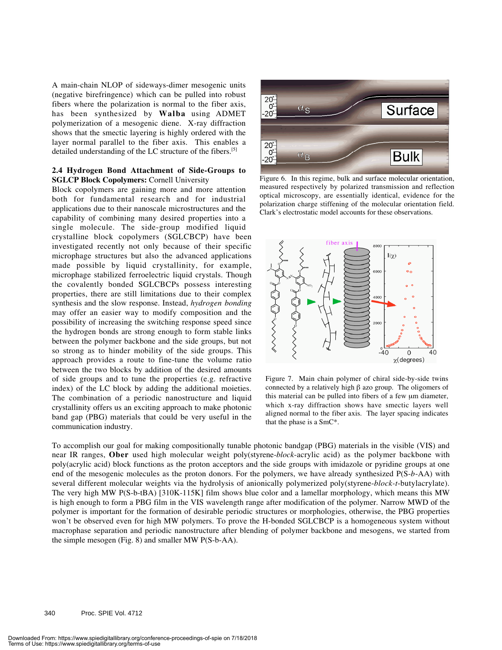A main-chain NLOP of sideways-dimer mesogenic units (negative birefringence) which can be pulled into robust fibers where the polarization is normal to the fiber axis, has been synthesized by **Walba** using ADMET polymerization of a mesogenic diene. X-ray diffraction shows that the smectic layering is highly ordered with the layer normal parallel to the fiber axis. This enables a detailed understanding of the LC structure of the fibers.<sup>[5]</sup>

#### **2.4 Hydrogen Bond Attachment of Side-Groups to SGLCP Block Copolymers:** Cornell University

Block copolymers are gaining more and more attention both for fundamental research and for industrial applications due to their nanoscale microstructures and the capability of combining many desired properties into a single molecule. The side-group modified liquid crystalline block copolymers (SGLCBCP) have been investigated recently not only because of their specific microphage structures but also the advanced applications made possible by liquid crystallinity, for example, microphage stabilized ferroelectric liquid crystals. Though the covalently bonded SGLCBCPs possess interesting properties, there are still limitations due to their complex synthesis and the slow response. Instead, *hydrogen bonding* may offer an easier way to modify composition and the possibility of increasing the switching response speed since the hydrogen bonds are strong enough to form stable links between the polymer backbone and the side groups, but not so strong as to hinder mobility of the side groups. This approach provides a route to fine-tune the volume ratio between the two blocks by addition of the desired amounts of side groups and to tune the properties (e.g. refractive index) of the LC block by adding the additional moieties. The combination of a periodic nanostructure and liquid crystallinity offers us an exciting approach to make photonic band gap (PBG) materials that could be very useful in the communication industry.



Figure 6. In this regime, bulk and surface molecular orientation, measured respectively by polarized transmission and reflection optical microscopy, are essentially identical, evidence for the polarization charge stiffening of the molecular orientation field. Clark's electrostatic model accounts for these observations*.*



Figure 7. Main chain polymer of chiral side-by-side twins connected by a relatively high  $\beta$  azo group. The oligomers of this material can be pulled into fibers of a few um diameter, which x-ray diffraction shows have smectic layers well aligned normal to the fiber axis. The layer spacing indicates that the phase is a SmC\*.

To accomplish our goal for making compositionally tunable photonic bandgap (PBG) materials in the visible (VIS) and near IR ranges, **Ober** used high molecular weight poly(styrene-*block*-acrylic acid) as the polymer backbone with poly(acrylic acid) block functions as the proton acceptors and the side groups with imidazole or pyridine groups at one end of the mesogenic molecules as the proton donors. For the polymers, we have already synthesized P(S-*b*-AA) with several different molecular weights via the hydrolysis of anionically polymerized poly(styrene-*block-t*-butylacrylate). The very high MW P(S-b-tBA) [310K-115K] film shows blue color and a lamellar morphology, which means this MW is high enough to form a PBG film in the VIS wavelength range after modification of the polymer. Narrow MWD of the polymer is important for the formation of desirable periodic structures or morphologies, otherwise, the PBG properties won't be observed even for high MW polymers. To prove the H-bonded SGLCBCP is a homogeneous system without macrophase separation and periodic nanostructure after blending of polymer backbone and mesogens, we started from the simple mesogen (Fig. 8) and smaller MW P(S-b-AA).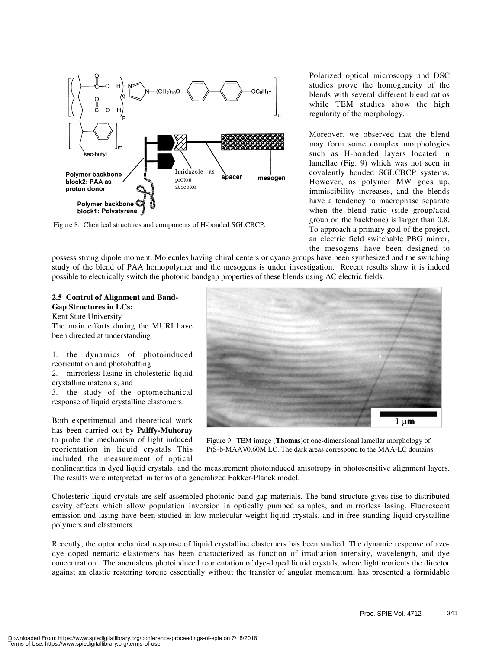

Figure 8. Chemical structures and components of H-bonded SGLCBCP.

Polarized optical microscopy and DSC studies prove the homogeneity of the blends with several different blend ratios while TEM studies show the high regularity of the morphology.

Moreover, we observed that the blend may form some complex morphologies such as H-bonded layers located in lamellae (Fig. 9) which was not seen in covalently bonded SGLCBCP systems. However, as polymer MW goes up, immiscibility increases, and the blends have a tendency to macrophase separate when the blend ratio (side group/acid group on the backbone) is larger than 0.8. To approach a primary goal of the project, an electric field switchable PBG mirror, the mesogens have been designed to

possess strong dipole moment. Molecules having chiral centers or cyano groups have been synthesized and the switching study of the blend of PAA homopolymer and the mesogens is under investigation. Recent results show it is indeed possible to electrically switch the photonic bandgap properties of these blends using AC electric fields.

### **2.5 Control of Alignment and Band-**

**Gap Structures in LCs:** Kent State University The main efforts during the MURI have been directed at understanding

1. the dynamics of photoinduced reorientation and photobuffing

2. mirrorless lasing in cholesteric liquid crystalline materials, and

3. the study of the optomechanical response of liquid crystalline elastomers.

Both experimental and theoretical work has been carried out by **Palffy-Muhoray** to probe the mechanism of light induced reorientation in liquid crystals This included the measurement of optical



Figure 9. TEM image (**Thomas**)of one-dimensional lamellar morphology of P(S-b-MAA)/0.60M LC. The dark areas correspond to the MAA-LC domains.

nonlinearities in dyed liquid crystals, and the measurement photoinduced anisotropy in photosensitive alignment layers. The results were interpreted in terms of a generalized Fokker-Planck model.

Cholesteric liquid crystals are self-assembled photonic band-gap materials. The band structure gives rise to distributed cavity effects which allow population inversion in optically pumped samples, and mirrorless lasing. Fluorescent emission and lasing have been studied in low molecular weight liquid crystals, and in free standing liquid crystalline polymers and elastomers.

Recently, the optomechanical response of liquid crystalline elastomers has been studied. The dynamic response of azodye doped nematic elastomers has been characterized as function of irradiation intensity, wavelength, and dye concentration. The anomalous photoinduced reorientation of dye-doped liquid crystals, where light reorients the director against an elastic restoring torque essentially without the transfer of angular momentum, has presented a formidable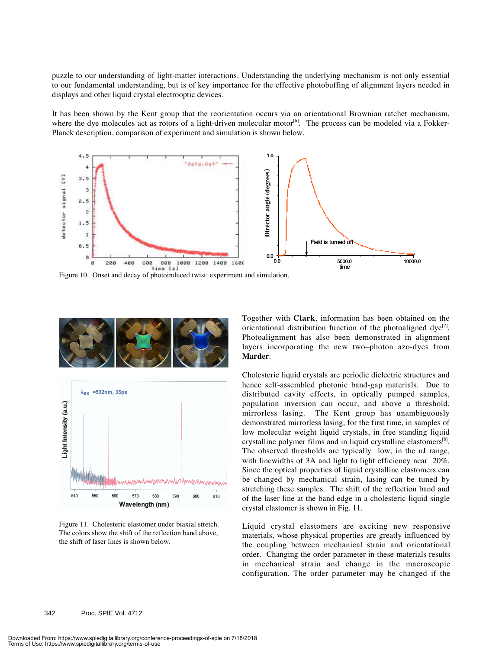puzzle to our understanding of light-matter interactions. Understanding the underlying mechanism is not only essential to our fundamental understanding, but is of key importance for the effective photobuffing of alignment layers needed in displays and other liquid crystal electrooptic devices.

It has been shown by the Kent group that the reorientation occurs via an orientational Brownian ratchet mechanism, where the dye molecules act as rotors of a light-driven molecular motor<sup>[6]</sup>. The process can be modeled via a Fokker-Planck description, comparison of experiment and simulation is shown below.



Figure 10. Onset and decay of photoinduced twist: experiment and simulation.





Figure 11. Cholesteric elastomer under biaxial stretch. The colors show the shift of the reflection band above, the shift of laser lines is shown below.

Together with **Clark**, information has been obtained on the orientational distribution function of the photoaligned dye<sup>[7]</sup>. Photoalignment has also been demonstrated in alignment layers incorporating the new two–photon azo-dyes from **Marder**.

Cholesteric liquid crystals are periodic dielectric structures and hence self-assembled photonic band-gap materials. Due to distributed cavity effects, in optically pumped samples, population inversion can occur, and above a threshold, mirrorless lasing. The Kent group has unambiguously demonstrated mirrorless lasing, for the first time, in samples of low molecular weight liquid crystals, in free standing liquid crystalline polymer films and in liquid crystalline elastomers<sup>[8]</sup>. The observed thresholds are typically low, in the nJ range, with linewidths of 3A and light to light efficiency near 20%. Since the optical properties of liquid crystalline elastomers can be changed by mechanical strain, lasing can be tuned by stretching these samples. The shift of the reflection band and of the laser line at the band edge in a cholesteric liquid single crystal elastomer is shown in Fig. 11.

Liquid crystal elastomers are exciting new responsive materials, whose physical properties are greatly influenced by the coupling between mechanical strain and orientational order. Changing the order parameter in these materials results in mechanical strain and change in the macroscopic configuration. The order parameter may be changed if the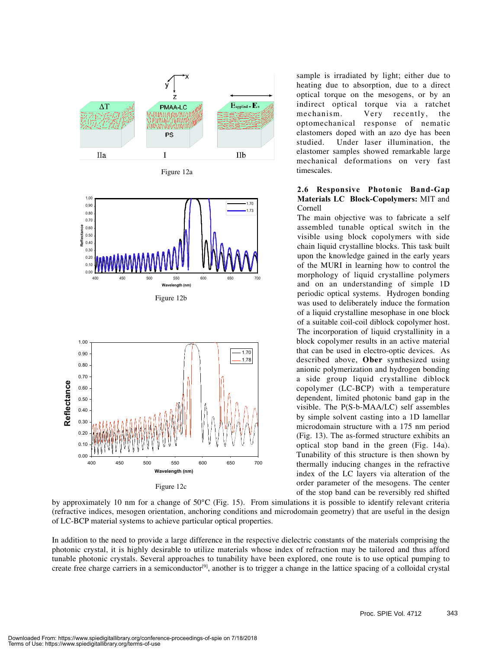



Figure 12b



Figure 12c

sample is irradiated by light; either due to heating due to absorption, due to a direct optical torque on the mesogens, or by an indirect optical torque via a ratchet mechanism. Very recently, the optomechanical response of nematic elastomers doped with an azo dye has been studied. Under laser illumination, the elastomer samples showed remarkable large mechanical deformations on very fast timescales.

#### **2.6 Responsive Photonic Band-Gap Materials LC Block-Copolymers:** MIT and Cornell

The main objective was to fabricate a self assembled tunable optical switch in the visible using block copolymers with side chain liquid crystalline blocks. This task built upon the knowledge gained in the early years of the MURI in learning how to control the morphology of liquid crystalline polymers and on an understanding of simple 1D periodic optical systems. Hydrogen bonding was used to deliberately induce the formation of a liquid crystalline mesophase in one block of a suitable coil-coil diblock copolymer host. The incorporation of liquid crystallinity in a block copolymer results in an active material that can be used in electro-optic devices. As described above, **Ober** synthesized using anionic polymerization and hydrogen bonding a side group liquid crystalline diblock copolymer (LC-BCP) with a temperature dependent, limited photonic band gap in the visible. The P(S-b-MAA/LC) self assembles by simple solvent casting into a 1D lamellar microdomain structure with a 175 nm period (Fig. 13). The as-formed structure exhibits an optical stop band in the green (Fig. 14a). Tunability of this structure is then shown by thermally inducing changes in the refractive index of the LC layers via alteration of the order parameter of the mesogens. The center of the stop band can be reversibly red shifted

by approximately 10 nm for a change of 50°C (Fig. 15). From simulations it is possible to identify relevant criteria (refractive indices, mesogen orientation, anchoring conditions and microdomain geometry) that are useful in the design of LC-BCP material systems to achieve particular optical properties.

In addition to the need to provide a large difference in the respective dielectric constants of the materials comprising the photonic crystal, it is highly desirable to utilize materials whose index of refraction may be tailored and thus afford tunable photonic crystals. Several approaches to tunability have been explored, one route is to use optical pumping to create free charge carriers in a semiconductor<sup>[9]</sup>, another is to trigger a change in the lattice spacing of a colloidal crystal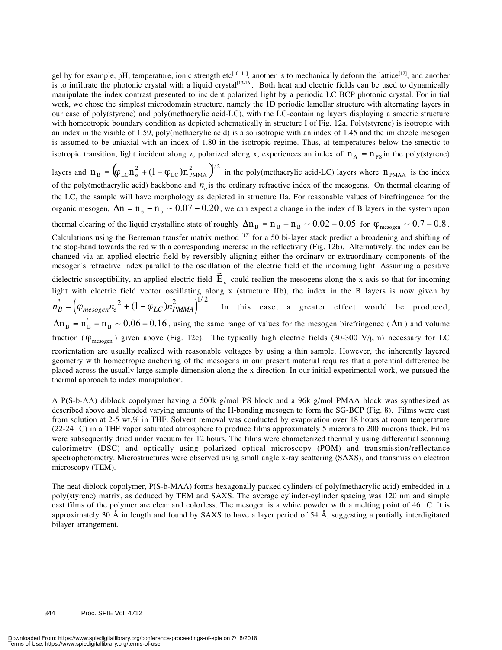gel by for example, pH, temperature, ionic strength etc<sup>[10, 11]</sup>, another is to mechanically deform the lattice<sup>[12]</sup>, and another is to infiltrate the photonic crystal with a liquid crystal<sup>[13-16]</sup>. Both heat and electric fields can be used to dynamically manipulate the index contrast presented to incident polarized light by a periodic LC BCP photonic crystal. For initial work, we chose the simplest microdomain structure, namely the 1D periodic lamellar structure with alternating layers in our case of poly(styrene) and poly(methacrylic acid-LC), with the LC-containing layers displaying a smectic structure with homeotropic boundary condition as depicted schematically in structure I of Fig. 12a. Poly(styrene) is isotropic with an index in the visible of 1.59, poly(methacrylic acid) is also isotropic with an index of 1.45 and the imidazole mesogen is assumed to be uniaxial with an index of 1.80 in the isotropic regime. Thus, at temperatures below the smectic to isotropic transition, light incident along z, polarized along x, experiences an index of  $n_A = n_{PS}$  in the poly(styrene)

layers and  $n_B = (\varphi_{LC} n_o^2 + (1 - \varphi_{LC}) n_{PMMA}^2)^{1/2}$  $n_B = (\varphi_{LC} n_o^2 + (1 - \varphi_{LC}) n_{PMMA}^2)^2$  in the poly(methacrylic acid-LC) layers where  $n_{PMAA}$  is the index of the poly(methacrylic acid) backbone and  $n<sub>o</sub>$  is the ordinary refractive index of the mesogens. On thermal clearing of the LC, the sample will have morphology as depicted in structure IIa. For reasonable values of birefringence for the organic mesogen,  $\Delta n = n_e - n_o \sim 0.07 - 0.20$ , we can expect a change in the index of B layers in the system upon thermal clearing of the liquid crystalline state of roughly  $\Delta n_B = n_B - n_B \sim 0.02 - 0.05$  for  $\varphi_{\text{mesogen}} \sim 0.7 - 0.8$ . Calculations using the Berreman transfer matrix method <sup>[17]</sup> for a 50 bi-layer stack predict a broadening and shifting of the stop-band towards the red with a corresponding increase in the reflectivity (Fig. 12b). Alternatively, the index can be changed via an applied electric field by reversibly aligning either the ordinary or extraordinary components of the mesogen's refractive index parallel to the oscillation of the electric field of the incoming light. Assuming a positive r dielectric susceptibility, an applied electric field  $\vec{E}_x$  could realign the mesogens along the x-axis so that for incoming light with electric field vector oscillating along x (structure IIb), the index in the B layers is now given by *nB*  $\sigma_B^{\text{u}} = \left(\varphi_{\text{mesogen}} n_e^2 + (1 - \varphi_{LC}) n_{\text{PMMA}}^2\right)^{1/2}$ . In this case, a greater effect would be produced,  $\Delta n_B = n_B - n_B \sim 0.06 - 0.16$ , using the same range of values for the mesogen birefringence ( $\Delta n$ ) and volume fraction ( $\varphi_{\text{mesogen}}$ ) given above (Fig. 12c). The typically high electric fields (30-300 V/ $\mu$ m) necessary for LC reorientation are usually realized with reasonable voltages by using a thin sample. However, the inherently layered geometry with homeotropic anchoring of the mesogens in our present material requires that a potential difference be placed across the usually large sample dimension along the x direction. In our initial experimental work, we pursued the thermal approach to index manipulation.

A P(S-b-AA) diblock copolymer having a 500k g/mol PS block and a 96k g/mol PMAA block was synthesized as described above and blended varying amounts of the H-bonding mesogen to form the SG-BCP (Fig. 8). Films were cast from solution at 2-5 wt.% in THF. Solvent removal was conducted by evaporation over 18 hours at room temperature (22-24 C) in a THF vapor saturated atmosphere to produce films approximately 5 microns to 200 microns thick. Films were subsequently dried under vacuum for 12 hours. The films were characterized thermally using differential scanning calorimetry (DSC) and optically using polarized optical microscopy (POM) and transmission/reflectance spectrophotometry. Microstructures were observed using small angle x-ray scattering (SAXS), and transmission electron microscopy (TEM).

The neat diblock copolymer, P(S-b-MAA) forms hexagonally packed cylinders of poly(methacrylic acid) embedded in a poly(styrene) matrix, as deduced by TEM and SAXS. The average cylinder-cylinder spacing was 120 nm and simple cast films of the polymer are clear and colorless. The mesogen is a white powder with a melting point of 46 C. It is approximately 30 Å in length and found by SAXS to have a layer period of 54 Å, suggesting a partially interdigitated bilayer arrangement.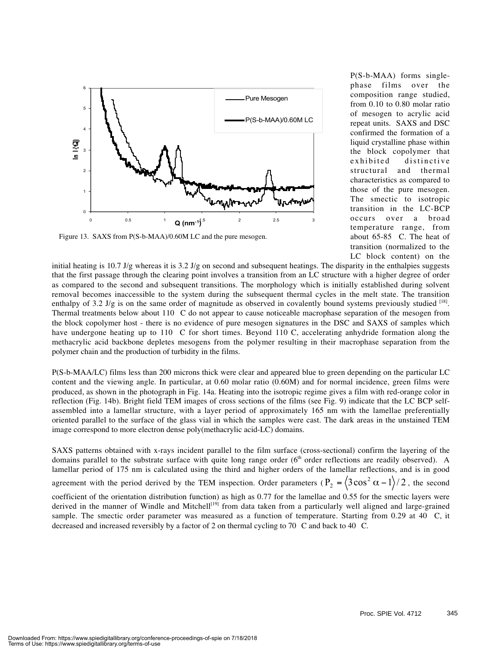

Figure 13. SAXS from P(S-b-MAA)/0.60M LC and the pure mesogen.

P(S-b-MAA) forms singlephase films over the composition range studied, from 0.10 to 0.80 molar ratio of mesogen to acrylic acid repeat units. SAXS and DSC confirmed the formation of a liquid crystalline phase within the block copolymer that exhibited distinctive structural and thermal characteristics as compared to those of the pure mesogen. The smectic to isotropic transition in the LC-BCP occurs over a broad temperature range, from about 65-85 C. The heat of transition (normalized to the LC block content) on the

initial heating is 10.7 J/g whereas it is 3.2 J/g on second and subsequent heatings. The disparity in the enthalpies suggests that the first passage through the clearing point involves a transition from an LC structure with a higher degree of order as compared to the second and subsequent transitions. The morphology which is initially established during solvent removal becomes inaccessible to the system during the subsequent thermal cycles in the melt state. The transition enthalpy of 3.2 J/g is on the same order of magnitude as observed in covalently bound systems previously studied  $[18]$ . Thermal treatments below about 110 C do not appear to cause noticeable macrophase separation of the mesogen from the block copolymer host - there is no evidence of pure mesogen signatures in the DSC and SAXS of samples which have undergone heating up to 110 C for short times. Beyond 110 C, accelerating anhydride formation along the methacrylic acid backbone depletes mesogens from the polymer resulting in their macrophase separation from the polymer chain and the production of turbidity in the films.

P(S-b-MAA/LC) films less than 200 microns thick were clear and appeared blue to green depending on the particular LC content and the viewing angle. In particular, at 0.60 molar ratio (0.60M) and for normal incidence, green films were produced, as shown in the photograph in Fig. 14a. Heating into the isotropic regime gives a film with red-orange color in reflection (Fig. 14b). Bright field TEM images of cross sections of the films (see Fig. 9) indicate that the LC BCP selfassembled into a lamellar structure, with a layer period of approximately 165 nm with the lamellae preferentially oriented parallel to the surface of the glass vial in which the samples were cast. The dark areas in the unstained TEM image correspond to more electron dense poly(methacrylic acid-LC) domains.

SAXS patterns obtained with x-rays incident parallel to the film surface (cross-sectional) confirm the layering of the domains parallel to the substrate surface with quite long range order ( $6<sup>th</sup>$  order reflections are readily observed). A lamellar period of 175 nm is calculated using the third and higher orders of the lamellar reflections, and is in good agreement with the period derived by the TEM inspection. Order parameters ( $P_2 = (3\cos^2 \alpha - 1)/2$ , the second

coefficient of the orientation distribution function) as high as 0.77 for the lamellae and 0.55 for the smectic layers were derived in the manner of Windle and Mitchell<sup>[19]</sup> from data taken from a particularly well aligned and large-grained sample. The smectic order parameter was measured as a function of temperature. Starting from 0.29 at 40 C, it decreased and increased reversibly by a factor of 2 on thermal cycling to 70 C and back to 40 C.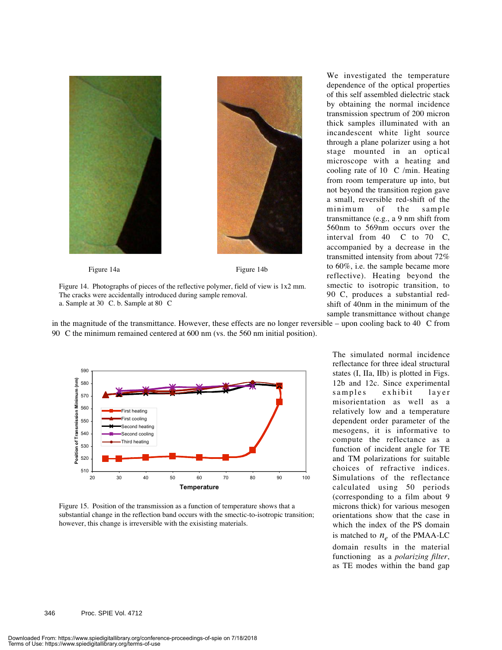



Figure 14a Figure 14b

Figure 14. Photographs of pieces of the reflective polymer, field of view is 1x2 mm. The cracks were accidentally introduced during sample removal. a. Sample at 30 C. b. Sample at 80 C

in the magnitude of the transmittance. However, these effects are no longer reversible – upon cooling back to 40 C from 90 C the minimum remained centered at 600 nm (vs. the 560 nm initial position).



Figure 15. Position of the transmission as a function of temperature shows that a substantial change in the reflection band occurs with the smectic-to-isotropic transition; however, this change is irreversible with the exisisting materials.

a small, reversible red-shift of the minimum of the sample transmittance (e.g., a 9 nm shift from 560nm to 569nm occurs over the interval from 40 C to 70 C, accompanied by a decrease in the transmitted intensity from about 72% to 60%, i.e. the sample became more reflective). Heating beyond the smectic to isotropic transition, to 90 C, produces a substantial redshift of 40nm in the minimum of the sample transmittance without change The simulated normal incidence reflectance for three ideal structural states (I, IIa, IIb) is plotted in Figs. 12b and 12c. Since experimental samples exhibit layer misorientation as well as a relatively low and a temperature dependent order parameter of the mesogens, it is informative to compute the reflectance as a function of incident angle for TE and TM polarizations for suitable choices of refractive indices. Simulations of the reflectance calculated using 50 periods

(corresponding to a film about 9 microns thick) for various mesogen orientations show that the case in which the index of the PS domain is matched to  $n_e$  of the PMAA-LC domain results in the material functioning as a *polarizing filter*, as TE modes within the band gap

We investigated the temperature dependence of the optical properties of this self assembled dielectric stack by obtaining the normal incidence transmission spectrum of 200 micron thick samples illuminated with an incandescent white light source through a plane polarizer using a hot stage mounted in an optical microscope with a heating and cooling rate of 10 C /min. Heating from room temperature up into, but not beyond the transition region gave

346 Proc. SPIE Vol. 4712

Downloaded From: https://www.spiedigitallibrary.org/conference-proceedings-of-spie on 7/18/2018 Terms of Use: https://www.spiedigitallibrary.org/terms-of-use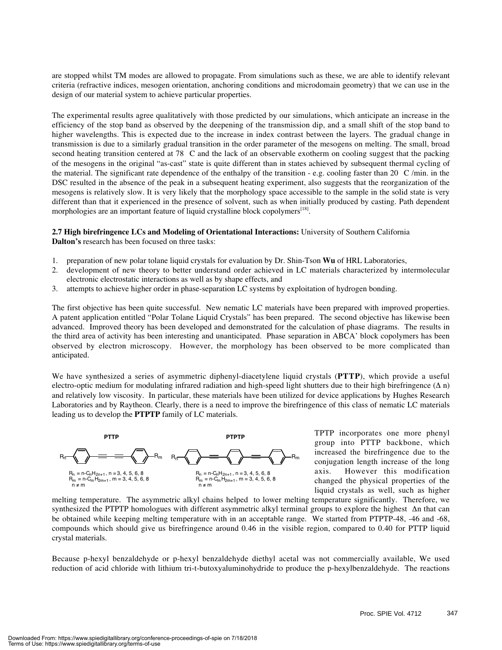are stopped whilst TMmodes are allowed to propagate. From simulations such as these, we are able to identify relevant criteria (refractive indices, mesogen orientation, anchoring conditions and microdomain geometry) that we can use in the design of our material system to achieve particular properties.

The experimental results agree qualitatively with those predicted by our simulations, which anticipate an increase in the efficiency of the stop band as observed by the deepening of the transmission dip, and a small shift of the stop band to higher wavelengths. This is expected due to the increase in index contrast between the layers. The gradual change in transmission is due to a similarly gradual transition in the order parameter of the mesogens on melting. The small, broad second heating transition centered at 78 C and the lack of an observable exotherm on cooling suggest that the packing of the mesogens in the original "as-cast" state is quite different than in states achieved by subsequent thermal cycling of the material. The significant rate dependence of the enthalpy of the transition - e.g. cooling faster than 20  $\degree$ C /min. in the DSC resulted in the absence of the peak in a subsequent heating experiment, also suggests that the reorganization of the mesogens is relatively slow. It is very likely that the morphology space accessible to the sample in the solid state is very different than that it experienced in the presence of solvent, such as when initially produced by casting. Path dependent morphologies are an important feature of liquid crystalline block copolymers<sup>[18]</sup>.

#### **2.7 High birefringence LCs and Modeling of Orientational Interactions:** University of Southern California **Dalton's** research has been focused on three tasks:

- 1. preparation of new polar tolane liquid crystals for evaluation by Dr. Shin-Tson **Wu** of HRL Laboratories,
- 2. development of new theory to better understand order achieved in LC materials characterized by intermolecular electronic electrostatic interactions as well as by shape effects, and
- 3. attempts to achieve higher order in phase-separation LC systems by exploitation of hydrogen bonding.

The first objective has been quite successful. New nematic LC materials have been prepared with improved properties. A patent application entitled "Polar Tolane Liquid Crystals" has been prepared. The second objective has likewise been advanced. Improved theory has been developed and demonstrated for the calculation of phase diagrams. The results in the third area of activity has been interesting and unanticipated. Phase separation in ABCA' block copolymers has been observed by electron microscopy. However, the morphology has been observed to be more complicated than anticipated.

We have synthesized a series of asymmetric diphenyl-diacetylene liquid crystals (**PTTP**), which provide a useful electro-optic medium for modulating infrared radiation and high-speed light shutters due to their high birefringence  $(\Delta n)$ and relatively low viscosity. In particular, these materials have been utilized for device applications by Hughes Research Laboratories and by Raytheon. Clearly, there is a need to improve the birefringence of this class of nematic LC materials leading us to develop the **PTPTP** family of LC materials.



TPTP incorporates one more phenyl group into PTTP backbone, which increased the birefringence due to the conjugation length increase of the long axis. However this modification changed the physical properties of the liquid crystals as well, such as higher

melting temperature. The asymmetric alkyl chains helped to lower melting temperature significantly. Therefore, we synthesized the PTPTP homologues with different asymmetric alkyl terminal groups to explore the highest  $\Delta n$  that can be obtained while keeping melting temperature with in an acceptable range. We started from PTPTP-48, -46 and -68, compounds which should give us birefringence around 0.46 in the visible region, compared to 0.40 for PTTP liquid crystal materials.

Because p-hexyl benzaldehyde or p-hexyl benzaldehyde diethyl acetal was not commercially available, We used reduction of acid chloride with lithium tri-t-butoxyaluminohydride to produce the p-hexylbenzaldehyde. The reactions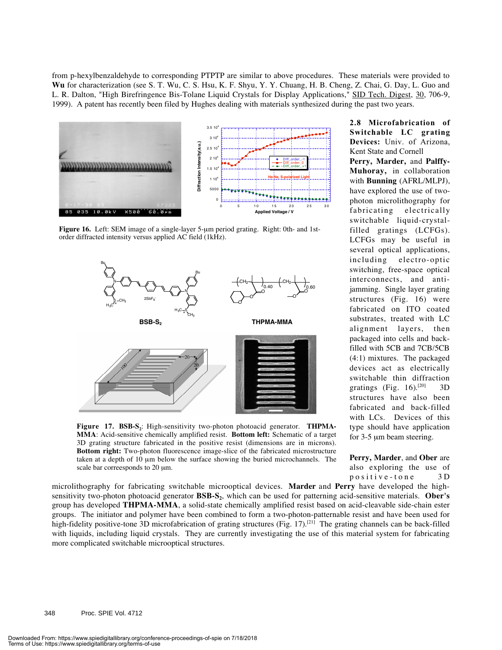from p-hexylbenzaldehyde to corresponding PTPTP are similar to above procedures. These materials were provided to **Wu** for characterization (see S. T. Wu, C. S. Hsu, K. F. Shyu, Y. Y. Chuang, H. B. Cheng, Z. Chai, G. Day, L. Guo and L. R. Dalton, "High Birefringence Bis-Tolane Liquid Crystals for Display Applications," SID Tech. Digest, 30, 706-9, 1999). A patent has recently been filed by Hughes dealing with materials synthesized during the past two years.



Figure 16. Left: SEM image of a single-layer 5-um period grating. Right: 0th- and 1storder diffracted intensity versus applied AC field (1kHz).



**Figure 17. BSB-S<sub>2</sub>**: High-sensitivity two-photon photoacid generator. **THPMA**-**MMA**: Acid-sensitive chemically amplified resist. **Bottom left:** Schematic of a target 3D grating structure fabricated in the positive resist (dimensions are in microns). **Bottom right:** Two-photon fluorescence image-slice of the fabricated microstructure taken at a depth of  $10 \mu m$  below the surface showing the buried microchannels. The scale bar correesponds to 20  $\mu$ m.

**Switchable LC grating Devices:** Univ. of Arizona, Kent State and Cornell **Perry, Marder,** and **Palffy-Muhoray,** in collaboration with **Bunning** (AFRL/MLPJ), have explored the use of twophoton microlithography for fabricating electrically switchable liquid-crystalfilled gratings (LCFGs). LCFGs may be useful in several optical applications, including electro-optic switching, free-space optical interconnects, and antijamming. Single layer grating structures (Fig. 16) were fabricated on ITO coated substrates, treated with LC alignment layers, then packaged into cells and backfilled with 5CB and 7CB/5CB (4:1) mixtures. The packaged devices act as electrically switchable thin diffraction gratings (Fig.  $16$ ).<sup>[20]</sup> 3D structures have also been fabricated and back-filled with LCs. Devices of this type should have application for  $3-5 \mu m$  beam steering.

**2.8 Microfabrication of**

**Perry, Marder**, and **Ober** are also exploring the use of positive-tone 3D

microlithography for fabricating switchable microoptical devices. **Marder** and **Perry** have developed the highsensitivity two-photon photoacid generator **BSB-S2**, which can be used for patterning acid-sensitive materials. **Ober's** group has developed **THPMA-MMA**, a solid-state chemically amplified resist based on acid-cleavable side-chain ester groups. The initiator and polymer have been combined to form a two-photon-patternable resist and have been used for high-fidelity positive-tone 3D microfabrication of grating structures (Fig. 17).<sup>[21]</sup> The grating channels can be back-filled with liquids, including liquid crystals. They are currently investigating the use of this material system for fabricating more complicated switchable microoptical structures.

Downloaded From: https://www.spiedigitallibrary.org/conference-proceedings-of-spie on 7/18/2018 Terms of Use: https://www.spiedigitallibrary.org/terms-of-use